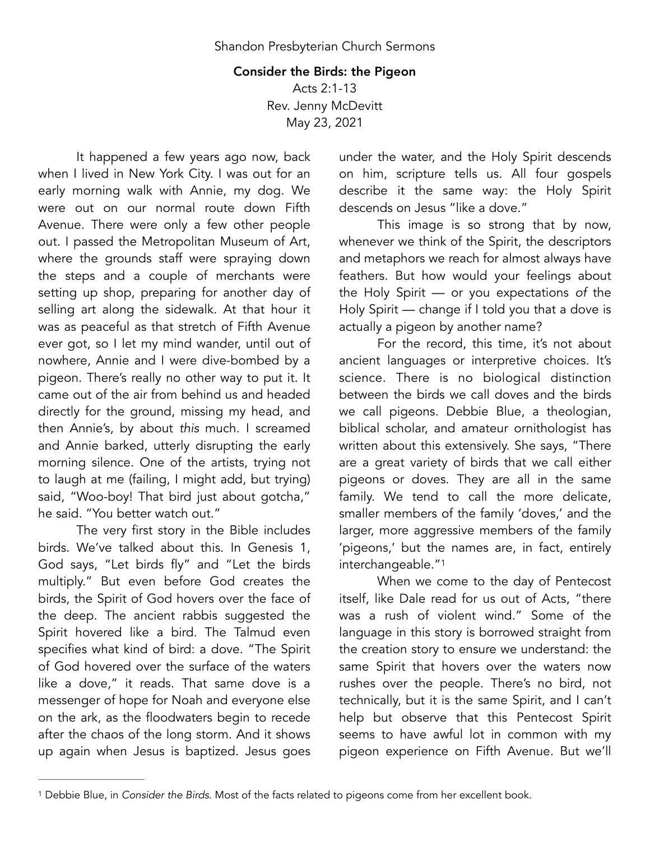## Consider the Birds: the Pigeon

Acts 2:1-13 Rev. Jenny McDevitt May 23, 2021

It happened a few years ago now, back when I lived in New York City. I was out for an early morning walk with Annie, my dog. We were out on our normal route down Fifth Avenue. There were only a few other people out. I passed the Metropolitan Museum of Art, where the grounds staff were spraying down the steps and a couple of merchants were setting up shop, preparing for another day of selling art along the sidewalk. At that hour it was as peaceful as that stretch of Fifth Avenue ever got, so I let my mind wander, until out of nowhere, Annie and I were dive-bombed by a pigeon. There's really no other way to put it. It came out of the air from behind us and headed directly for the ground, missing my head, and then Annie's, by about *this* much. I screamed and Annie barked, utterly disrupting the early morning silence. One of the artists, trying not to laugh at me (failing, I might add, but trying) said, "Woo-boy! That bird just about gotcha," he said. "You better watch out."

The very first story in the Bible includes birds. We've talked about this. In Genesis 1, God says, "Let birds fly" and "Let the birds multiply." But even before God creates the birds, the Spirit of God hovers over the face of the deep. The ancient rabbis suggested the Spirit hovered like a bird. The Talmud even specifies what kind of bird: a dove. "The Spirit of God hovered over the surface of the waters like a dove," it reads. That same dove is a messenger of hope for Noah and everyone else on the ark, as the floodwaters begin to recede after the chaos of the long storm. And it shows up again when Jesus is baptized. Jesus goes

under the water, and the Holy Spirit descends on him, scripture tells us. All four gospels describe it the same way: the Holy Spirit descends on Jesus "like a dove."

This image is so strong that by now, whenever we think of the Spirit, the descriptors and metaphors we reach for almost always have feathers. But how would your feelings about the Holy Spirit — or you expectations *of* the Holy Spirit — change if I told you that a dove is actually a pigeon by another name?

For the record, this time, it's not about ancient languages or interpretive choices. It's science. There is no biological distinction between the birds we call doves and the birds we call pigeons. Debbie Blue, a theologian, biblical scholar, and amateur ornithologist has written about this extensively. She says, "There are a great variety of birds that we call either pigeons or doves. They are all in the same family. We tend to call the more delicate, smaller members of the family 'doves,' and the larger, more aggressive members of the family 'pigeons,' but the names are, in fact, entirely interchangeable."[1](#page-0-0)

<span id="page-0-1"></span>When we come to the day of Pentecost itself, like Dale read for us out of Acts, "there was a rush of violent wind." Some of the language in this story is borrowed straight from the creation story to ensure we understand: the same Spirit that hovers over the waters now rushes over the people. There's no bird, not technically, but it is the same Spirit, and I can't help but observe that this Pentecost Spirit seems to have awful lot in common with my pigeon experience on Fifth Avenue. But we'll

<span id="page-0-0"></span><sup>&</sup>lt;sup>[1](#page-0-1)</sup> Debbie Blue, in *Consider the Birds*. Most of the facts related to pigeons come from her excellent book.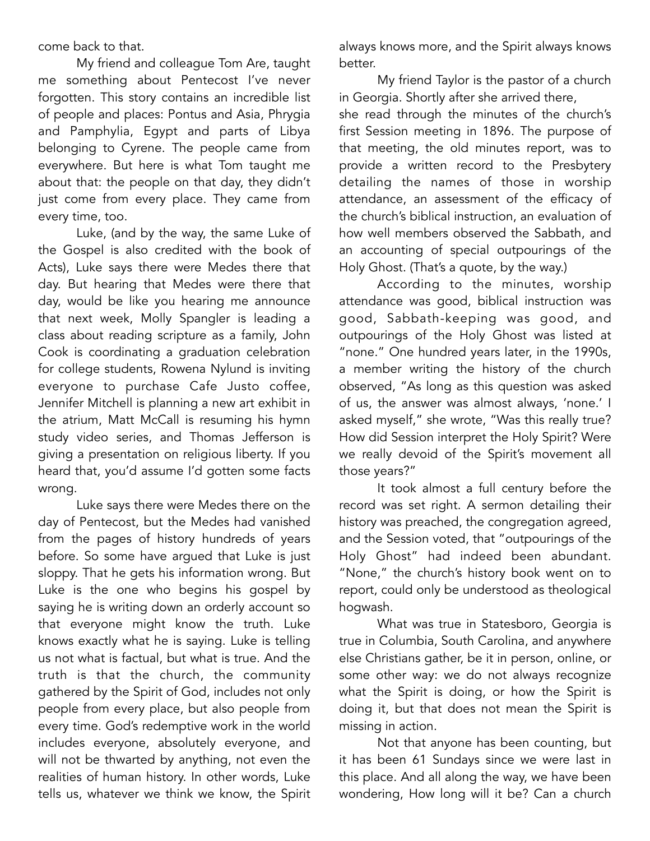come back to that.

My friend and colleague Tom Are, taught me something about Pentecost I've never forgotten. This story contains an incredible list of people and places: Pontus and Asia, Phrygia and Pamphylia, Egypt and parts of Libya belonging to Cyrene. The people came from everywhere. But here is what Tom taught me about that: the people on that day, they didn't just come from every place. They came from every time, too.

Luke, (and by the way, the same Luke of the Gospel is also credited with the book of Acts), Luke says there were Medes there that day. But hearing that Medes were there that day, would be like you hearing me announce that next week, Molly Spangler is leading a class about reading scripture as a family, John Cook is coordinating a graduation celebration for college students, Rowena Nylund is inviting everyone to purchase Cafe Justo coffee, Jennifer Mitchell is planning a new art exhibit in the atrium, Matt McCall is resuming his hymn study video series, and Thomas Jefferson is giving a presentation on religious liberty. If you heard that, you'd assume I'd gotten some facts wrong.

Luke says there were Medes there on the day of Pentecost, but the Medes had vanished from the pages of history hundreds of years before. So some have argued that Luke is just sloppy. That he gets his information wrong. But Luke is the one who begins his gospel by saying he is writing down an orderly account so that everyone might know the truth. Luke knows exactly what he is saying. Luke is telling us not what is factual, but what is true. And the truth is that the church, the community gathered by the Spirit of God, includes not only people from every place, but also people from every time. God's redemptive work in the world includes everyone, absolutely everyone, and will not be thwarted by anything, not even the realities of human history. In other words, Luke tells us, whatever we think we know, the Spirit

always knows more, and the Spirit always knows better.

My friend Taylor is the pastor of a church in Georgia. Shortly after she arrived there,

she read through the minutes of the church's first Session meeting in 1896. The purpose of that meeting, the old minutes report, was to provide a written record to the Presbytery detailing the names of those in worship attendance, an assessment of the efficacy of the church's biblical instruction, an evaluation of how well members observed the Sabbath, and an accounting of special outpourings of the Holy Ghost. (That's a quote, by the way.)

According to the minutes, worship attendance was good, biblical instruction was good, Sabbath-keeping was good, and outpourings of the Holy Ghost was listed at "none." One hundred years later, in the 1990s, a member writing the history of the church observed, "As long as this question was asked of us, the answer was almost always, 'none.' I asked myself," she wrote, "Was this really true? How did Session interpret the Holy Spirit? Were we really devoid of the Spirit's movement all those years?"

It took almost a full century before the record was set right. A sermon detailing their history was preached, the congregation agreed, and the Session voted, that "outpourings of the Holy Ghost" had indeed been abundant. "None," the church's history book went on to report, could only be understood as theological hogwash.

What was true in Statesboro, Georgia is true in Columbia, South Carolina, and anywhere else Christians gather, be it in person, online, or some other way: we do not always recognize what the Spirit is doing, or how the Spirit is doing it, but that does not mean the Spirit is missing in action.

Not that anyone has been counting, but it has been 61 Sundays since we were last in this place. And all along the way, we have been wondering, How long will it be? Can a church